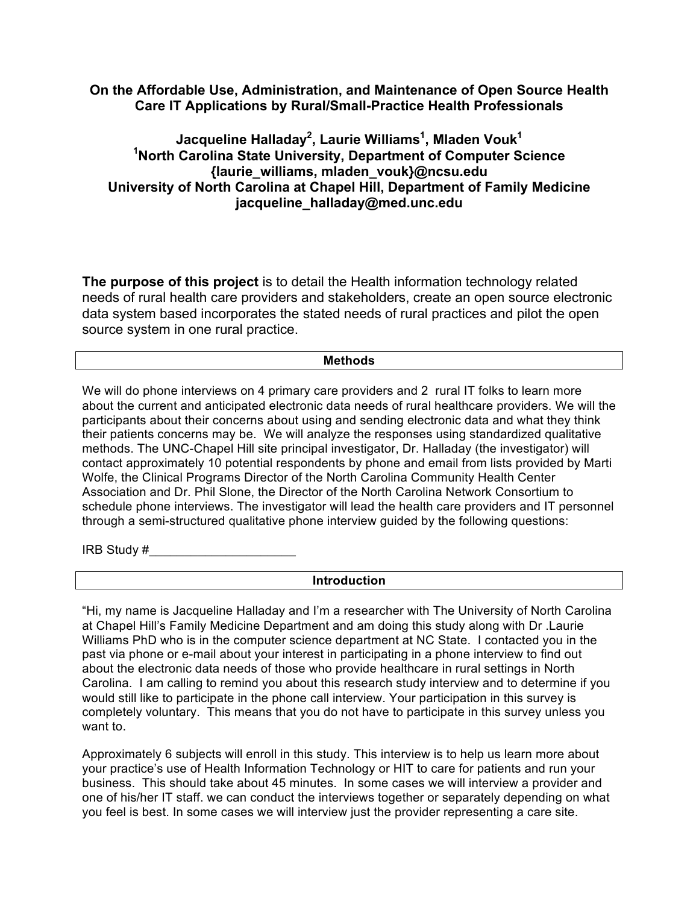## **On the Affordable Use, Administration, and Maintenance of Open Source Health Care IT Applications by Rural/Small-Practice Health Professionals**

## **Jacqueline Halladay2 , Laurie Williams<sup>1</sup> , Mladen Vouk<sup>1</sup> 1 North Carolina State University, Department of Computer Science {laurie\_williams, mladen\_vouk}@ncsu.edu University of North Carolina at Chapel Hill, Department of Family Medicine jacqueline\_halladay@med.unc.edu**

**The purpose of this project** is to detail the Health information technology related needs of rural health care providers and stakeholders, create an open source electronic data system based incorporates the stated needs of rural practices and pilot the open source system in one rural practice.

## **Methods**

We will do phone interviews on 4 primary care providers and 2 rural IT folks to learn more about the current and anticipated electronic data needs of rural healthcare providers. We will the participants about their concerns about using and sending electronic data and what they think their patients concerns may be. We will analyze the responses using standardized qualitative methods. The UNC-Chapel Hill site principal investigator, Dr. Halladay (the investigator) will contact approximately 10 potential respondents by phone and email from lists provided by Marti Wolfe, the Clinical Programs Director of the North Carolina Community Health Center Association and Dr. Phil Slone, the Director of the North Carolina Network Consortium to schedule phone interviews. The investigator will lead the health care providers and IT personnel through a semi-structured qualitative phone interview guided by the following questions:

IRB Study  $#$ 

## **Introduction**

"Hi, my name is Jacqueline Halladay and I'm a researcher with The University of North Carolina at Chapel Hill's Family Medicine Department and am doing this study along with Dr .Laurie Williams PhD who is in the computer science department at NC State. I contacted you in the past via phone or e-mail about your interest in participating in a phone interview to find out about the electronic data needs of those who provide healthcare in rural settings in North Carolina. I am calling to remind you about this research study interview and to determine if you would still like to participate in the phone call interview. Your participation in this survey is completely voluntary. This means that you do not have to participate in this survey unless you want to.

Approximately 6 subjects will enroll in this study. This interview is to help us learn more about your practice's use of Health Information Technology or HIT to care for patients and run your business. This should take about 45 minutes. In some cases we will interview a provider and one of his/her IT staff. we can conduct the interviews together or separately depending on what you feel is best. In some cases we will interview just the provider representing a care site.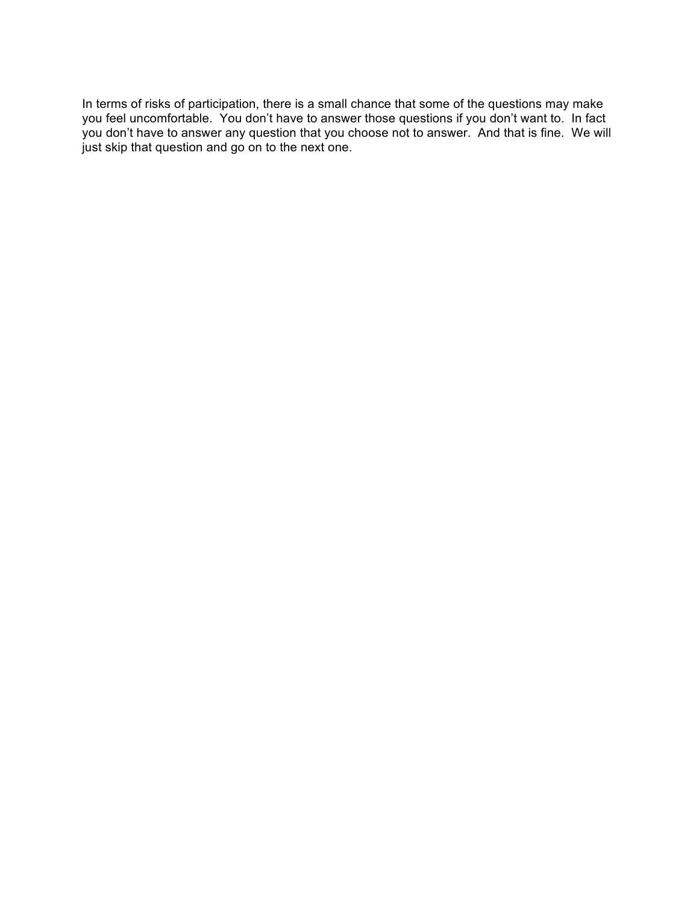In terms of risks of participation, there is a small chance that some of the questions may make you feel uncomfortable. You don't have to answer those questions if you don't want to. In fact you don't have to answer any question that you choose not to answer. And that is fine. We will just skip that question and go on to the next one.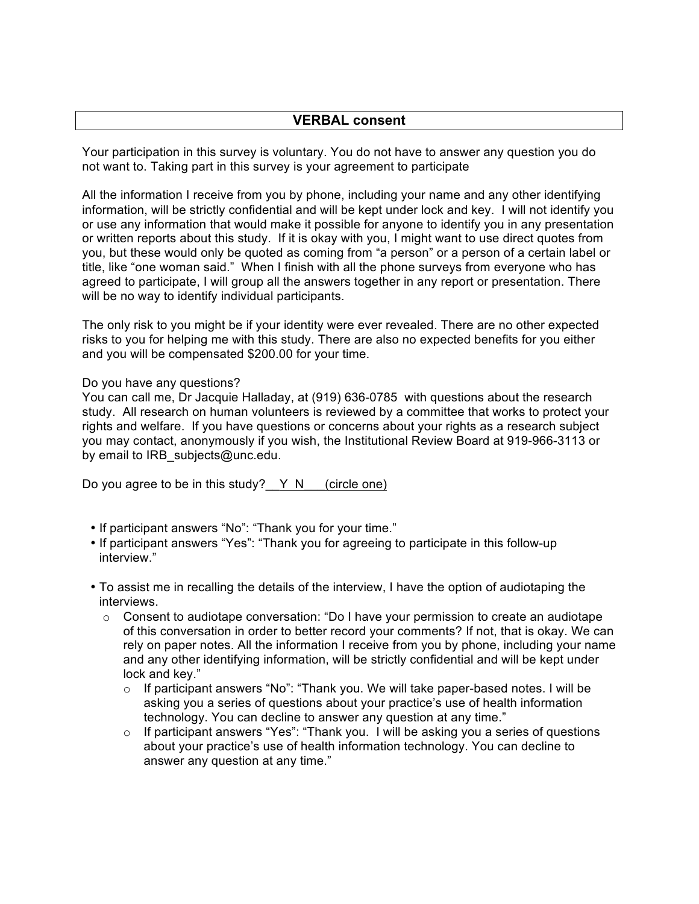## **VERBAL consent**

Your participation in this survey is voluntary. You do not have to answer any question you do not want to. Taking part in this survey is your agreement to participate

All the information I receive from you by phone, including your name and any other identifying information, will be strictly confidential and will be kept under lock and key. I will not identify you or use any information that would make it possible for anyone to identify you in any presentation or written reports about this study. If it is okay with you, I might want to use direct quotes from you, but these would only be quoted as coming from "a person" or a person of a certain label or title, like "one woman said." When I finish with all the phone surveys from everyone who has agreed to participate, I will group all the answers together in any report or presentation. There will be no way to identify individual participants.

The only risk to you might be if your identity were ever revealed. There are no other expected risks to you for helping me with this study. There are also no expected benefits for you either and you will be compensated \$200.00 for your time.

Do you have any questions?

You can call me, Dr Jacquie Halladay, at (919) 636-0785 with questions about the research study. All research on human volunteers is reviewed by a committee that works to protect your rights and welfare. If you have questions or concerns about your rights as a research subject you may contact, anonymously if you wish, the Institutional Review Board at 919-966-3113 or by email to IRB\_subjects@unc.edu.

Do you agree to be in this study? $Y \ N$  (circle one)

- If participant answers "No": "Thank you for your time."
- If participant answers "Yes": "Thank you for agreeing to participate in this follow-up interview."
- To assist me in recalling the details of the interview, I have the option of audiotaping the interviews.
	- $\circ$  Consent to audiotape conversation: "Do I have your permission to create an audiotape of this conversation in order to better record your comments? If not, that is okay. We can rely on paper notes. All the information I receive from you by phone, including your name and any other identifying information, will be strictly confidential and will be kept under lock and key."
		- $\circ$  If participant answers "No": "Thank you. We will take paper-based notes. I will be asking you a series of questions about your practice's use of health information technology. You can decline to answer any question at any time."
		- o If participant answers "Yes": "Thank you. I will be asking you a series of questions about your practice's use of health information technology. You can decline to answer any question at any time."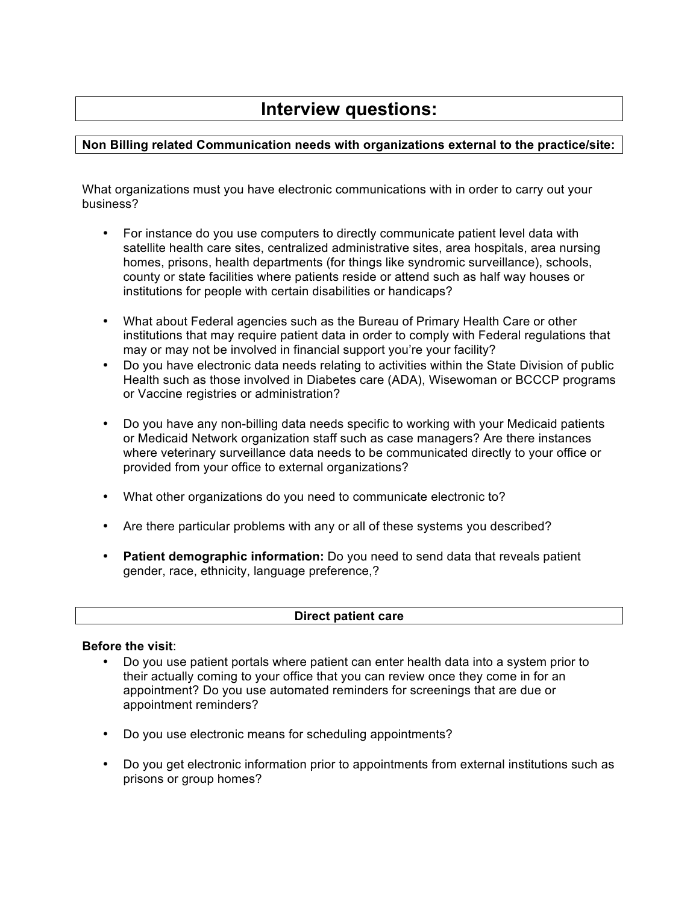# **Interview questions:**

## **Non Billing related Communication needs with organizations external to the practice/site:**

What organizations must you have electronic communications with in order to carry out your business?

- For instance do you use computers to directly communicate patient level data with satellite health care sites, centralized administrative sites, area hospitals, area nursing homes, prisons, health departments (for things like syndromic surveillance), schools, county or state facilities where patients reside or attend such as half way houses or institutions for people with certain disabilities or handicaps?
- What about Federal agencies such as the Bureau of Primary Health Care or other institutions that may require patient data in order to comply with Federal regulations that may or may not be involved in financial support you're your facility?
- Do you have electronic data needs relating to activities within the State Division of public Health such as those involved in Diabetes care (ADA), Wisewoman or BCCCP programs or Vaccine registries or administration?
- Do you have any non-billing data needs specific to working with your Medicaid patients or Medicaid Network organization staff such as case managers? Are there instances where veterinary surveillance data needs to be communicated directly to your office or provided from your office to external organizations?
- What other organizations do you need to communicate electronic to?
- Are there particular problems with any or all of these systems you described?
- **Patient demographic information:** Do you need to send data that reveals patient gender, race, ethnicity, language preference,?

## **Direct patient care**

## **Before the visit**:

- Do you use patient portals where patient can enter health data into a system prior to their actually coming to your office that you can review once they come in for an appointment? Do you use automated reminders for screenings that are due or appointment reminders?
- Do you use electronic means for scheduling appointments?
- Do you get electronic information prior to appointments from external institutions such as prisons or group homes?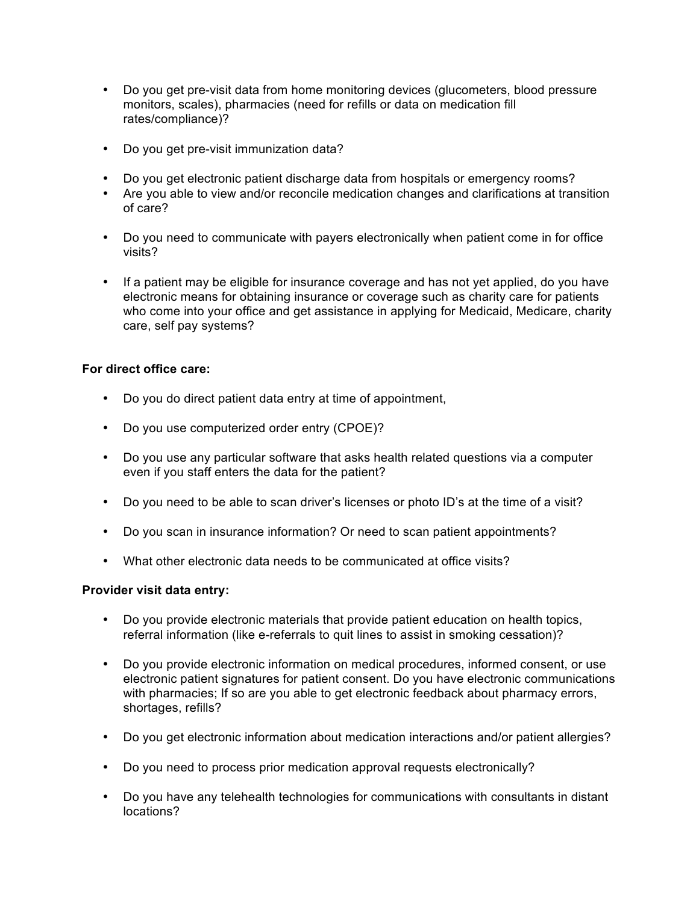- Do you get pre-visit data from home monitoring devices (glucometers, blood pressure monitors, scales), pharmacies (need for refills or data on medication fill rates/compliance)?
- Do you get pre-visit immunization data?
- Do you get electronic patient discharge data from hospitals or emergency rooms?
- Are you able to view and/or reconcile medication changes and clarifications at transition of care?
- Do you need to communicate with payers electronically when patient come in for office visits?
- If a patient may be eligible for insurance coverage and has not yet applied, do you have electronic means for obtaining insurance or coverage such as charity care for patients who come into your office and get assistance in applying for Medicaid, Medicare, charity care, self pay systems?

## **For direct office care:**

- Do you do direct patient data entry at time of appointment,
- Do you use computerized order entry (CPOE)?
- Do you use any particular software that asks health related questions via a computer even if you staff enters the data for the patient?
- Do you need to be able to scan driver's licenses or photo ID's at the time of a visit?
- Do you scan in insurance information? Or need to scan patient appointments?
- What other electronic data needs to be communicated at office visits?

## **Provider visit data entry:**

- Do you provide electronic materials that provide patient education on health topics, referral information (like e-referrals to quit lines to assist in smoking cessation)?
- Do you provide electronic information on medical procedures, informed consent, or use electronic patient signatures for patient consent. Do you have electronic communications with pharmacies; If so are you able to get electronic feedback about pharmacy errors, shortages, refills?
- Do you get electronic information about medication interactions and/or patient allergies?
- Do you need to process prior medication approval requests electronically?
- Do you have any telehealth technologies for communications with consultants in distant locations?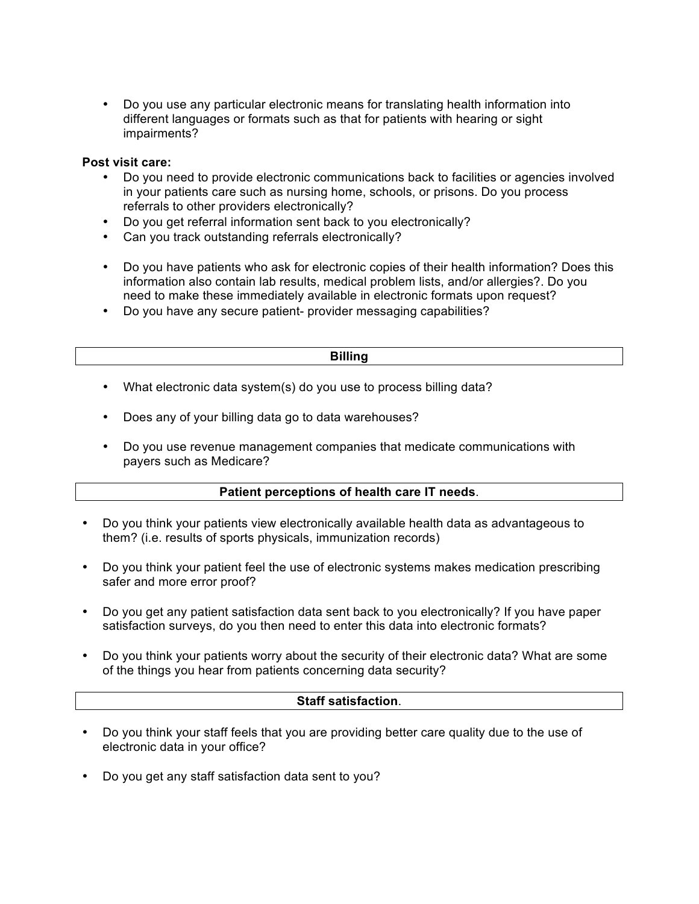• Do you use any particular electronic means for translating health information into different languages or formats such as that for patients with hearing or sight impairments?

## **Post visit care:**

- Do you need to provide electronic communications back to facilities or agencies involved in your patients care such as nursing home, schools, or prisons. Do you process referrals to other providers electronically?
- Do you get referral information sent back to you electronically?
- Can you track outstanding referrals electronically?
- Do you have patients who ask for electronic copies of their health information? Does this information also contain lab results, medical problem lists, and/or allergies?. Do you need to make these immediately available in electronic formats upon request?
- Do you have any secure patient- provider messaging capabilities?

#### **Billing**

- What electronic data system(s) do you use to process billing data?
- Does any of your billing data go to data warehouses?
- Do you use revenue management companies that medicate communications with payers such as Medicare?

## **Patient perceptions of health care IT needs**.

- Do you think your patients view electronically available health data as advantageous to them? (i.e. results of sports physicals, immunization records)
- Do you think your patient feel the use of electronic systems makes medication prescribing safer and more error proof?
- Do you get any patient satisfaction data sent back to you electronically? If you have paper satisfaction surveys, do you then need to enter this data into electronic formats?
- Do you think your patients worry about the security of their electronic data? What are some of the things you hear from patients concerning data security?

## **Staff satisfaction**.

- Do you think your staff feels that you are providing better care quality due to the use of electronic data in your office?
- Do you get any staff satisfaction data sent to you?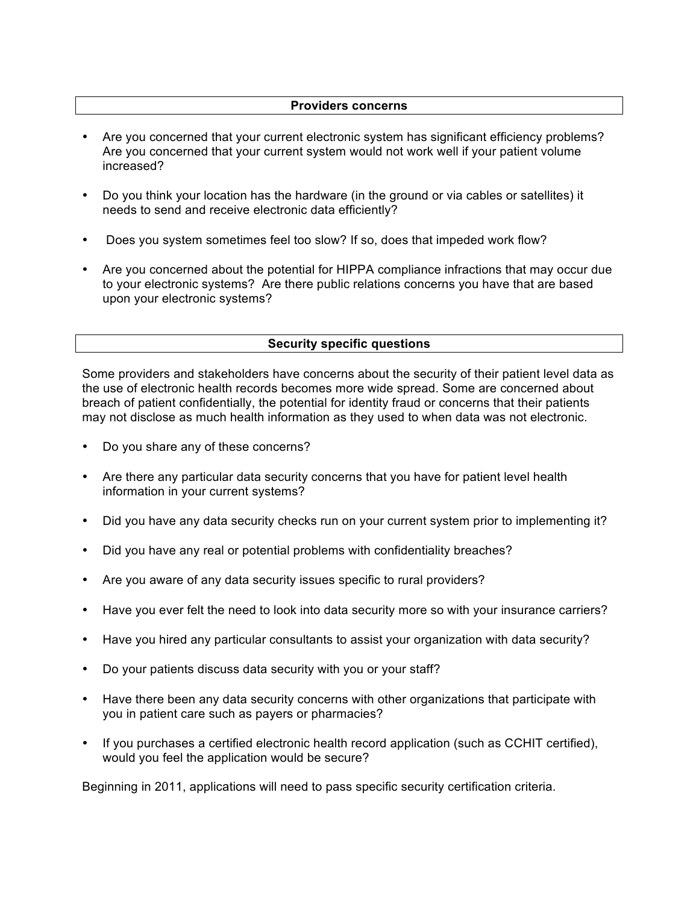## **Providers concerns**

- Are you concerned that your current electronic system has significant efficiency problems? Are you concerned that your current system would not work well if your patient volume increased?
- Do you think your location has the hardware (in the ground or via cables or satellites) it needs to send and receive electronic data efficiently?
- Does you system sometimes feel too slow? If so, does that impeded work flow?
- Are you concerned about the potential for HIPPA compliance infractions that may occur due to your electronic systems? Are there public relations concerns you have that are based upon your electronic systems?

## **Security specific questions**

Some providers and stakeholders have concerns about the security of their patient level data as the use of electronic health records becomes more wide spread. Some are concerned about breach of patient confidentially, the potential for identity fraud or concerns that their patients may not disclose as much health information as they used to when data was not electronic.

- Do you share any of these concerns?
- Are there any particular data security concerns that you have for patient level health information in your current systems?
- Did you have any data security checks run on your current system prior to implementing it?
- Did you have any real or potential problems with confidentiality breaches?
- Are you aware of any data security issues specific to rural providers?
- Have you ever felt the need to look into data security more so with your insurance carriers?
- Have you hired any particular consultants to assist your organization with data security?
- Do your patients discuss data security with you or your staff?
- Have there been any data security concerns with other organizations that participate with you in patient care such as payers or pharmacies?
- If you purchases a certified electronic health record application (such as CCHIT certified), would you feel the application would be secure?

Beginning in 2011, applications will need to pass specific security certification criteria.